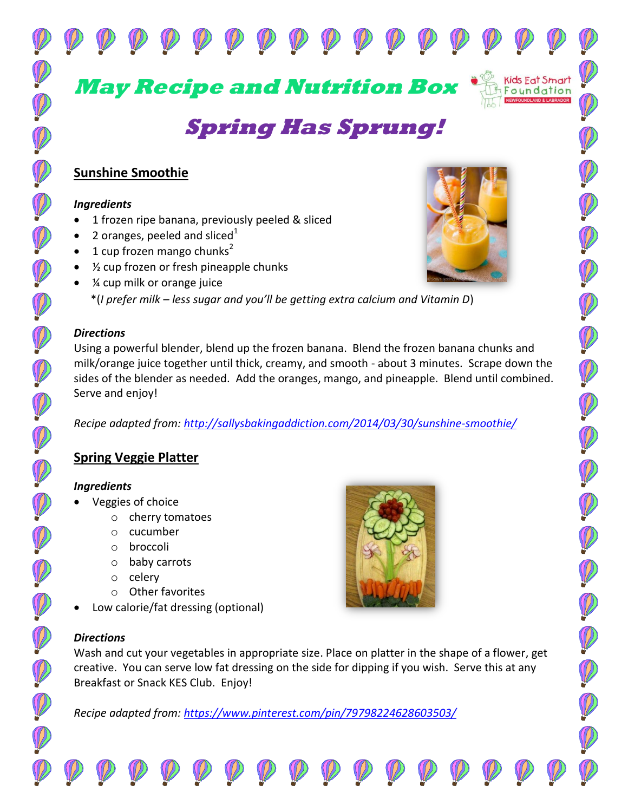**May Recipe and Nutrition Box**

# **Spring Has Sprung!**

# **Sunshine Smoothie**

#### *Ingredients*

- 1 frozen ripe banana, previously peeled & sliced
- 2 oranges, peeled and sliced<sup>1</sup>
- 1 cup frozen mango chunks<sup>2</sup>
- $\frac{1}{2}$  cup frozen or fresh pineapple chunks
- ¼ cup milk or orange juice \*(*I prefer milk – less sugar and you'll be getting extra calcium and Vitamin D*)

#### *Directions*

Using a powerful blender, blend up the frozen banana. Blend the frozen banana chunks and milk/orange juice together until thick, creamy, and smooth - about 3 minutes. Scrape down the sides of the blender as needed. Add the oranges, mango, and pineapple. Blend until combined. Serve and enjoy!

*Recipe adapted from:<http://sallysbakingaddiction.com/2014/03/30/sunshine-smoothie/>*

# **Spring Veggie Platter**

#### *Ingredients*

- Veggies of choice
	- o cherry tomatoes
	- o cucumber
	- o broccoli
	- o baby carrots
	- o celery
	- o Other favorites
- Low calorie/fat dressing (optional)

#### *Directions*

Wash and cut your vegetables in appropriate size. Place on platter in the shape of a flower, get creative. You can serve low fat dressing on the side for dipping if you wish. Serve this at any Breakfast or Snack KES Club. Enjoy!

*Recipe adapted from:<https://www.pinterest.com/pin/79798224628603503/>*





Kids Eat Smart Foundation

 $\mathbb{Q}$ 

P

I

P

DOOD